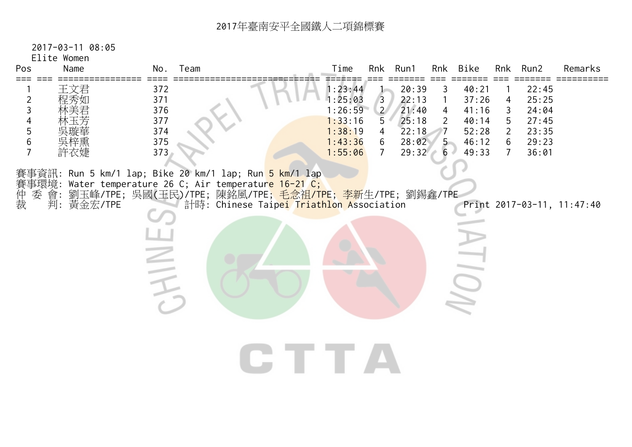2017-03-11 08:05

Elite Women

| Pos<br>Name                                                  | No.                                           | Team                                                                                                                                                                                                                                                                      | Time                                                                      | Rnk                                                               | Run1                                                        | Rnk                                                             | Bike                                                        |                                                      | Rnk Run2                                                    | Remarks                    |
|--------------------------------------------------------------|-----------------------------------------------|---------------------------------------------------------------------------------------------------------------------------------------------------------------------------------------------------------------------------------------------------------------------------|---------------------------------------------------------------------------|-------------------------------------------------------------------|-------------------------------------------------------------|-----------------------------------------------------------------|-------------------------------------------------------------|------------------------------------------------------|-------------------------------------------------------------|----------------------------|
| 王文君<br>程秀如<br>2<br>3<br>4<br>5<br>6<br>$\overline{7}$<br>許衣婕 | 372<br>371<br>376<br>377<br>374<br>375<br>373 |                                                                                                                                                                                                                                                                           | 1:23:44<br>1:25:03<br>1:26:59<br>1:33:16<br>1:38:19<br>1:43:36<br>1:55:06 | $\overline{3}$<br>$\overline{2}$<br>5<br>4<br>6<br>$\overline{7}$ | 20:39<br>22:13<br>21:40<br>25:18<br>22:18<br>28:02<br>29:32 | 3<br>$\mathbf{1}$<br>$\overline{4}$<br>$\overline{2}$<br>5<br>6 | 40:21<br>37:26<br>41:16<br>40:14<br>52:28<br>46:12<br>49:33 | 4<br>3<br>5<br>$\overline{2}$<br>6<br>$\overline{7}$ | 22:45<br>25:25<br>24:04<br>27:45<br>23:35<br>29:23<br>36:01 |                            |
| 仲裁<br>委 會:<br>判: 黃金宏/TPE                                     | $\overline{\phantom{a}}$                      | 賽事資訊: Run 5 km/1 lap; Bike 20 km/1 lap; Run <mark>5 km/1 l</mark> ap<br>賽事環境: Water temperature 26 C; Air temperatur <mark>e 16-21 C;</mark><br>劉玉峰/TPE; 吳國(王民)/TPE; 陳銘風/TPE; <mark>毛念祖/TPE; 李新</mark> 生/TPE; 劉錫鑫/TPE<br>計時: Chinese Taipei Triathlon Association<br>CTTA |                                                                           |                                                                   |                                                             |                                                                 |                                                             |                                                      |                                                             | Print 2017-03-11, 11:47:40 |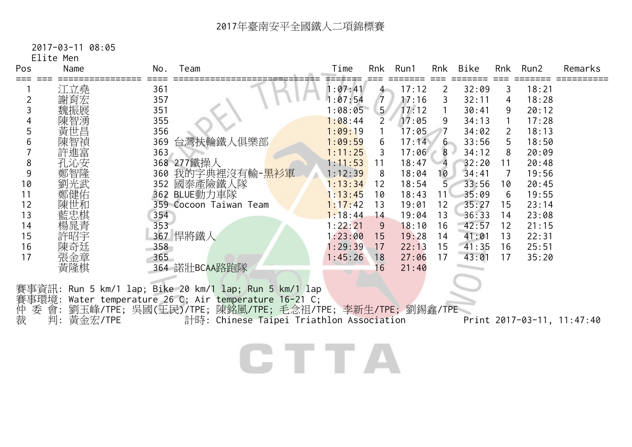2017-03-11 08:05

Elite Men

| Pos     | Name                | No. | Team                                                                                                                                                                                                                  | Time    | Rnk            | Run1  | Rnk            | Bike  | Rnk | Run2  | Remarks                    |
|---------|---------------------|-----|-----------------------------------------------------------------------------------------------------------------------------------------------------------------------------------------------------------------------|---------|----------------|-------|----------------|-------|-----|-------|----------------------------|
|         | 江立堯                 | 361 |                                                                                                                                                                                                                       | 1:07:41 | 4 <sup>1</sup> | 17:12 | 2              | 32:09 | 3   | 18:21 |                            |
|         | 謝育宏                 | 357 |                                                                                                                                                                                                                       | : 07:54 | 7              | 17:16 | 3              | 32:11 | 4   | 18:28 |                            |
|         |                     | 351 |                                                                                                                                                                                                                       | 1:08:05 | 5 <sup>7</sup> | 17:12 |                | 30:41 | 9   | 20:12 |                            |
|         |                     | 355 |                                                                                                                                                                                                                       | 1:08:44 | $\overline{2}$ | 17:05 | 9              | 34:13 |     | 17:28 |                            |
|         | 黃世昌                 | 356 |                                                                                                                                                                                                                       | 1:09:19 |                | 17:05 | - 7            | 34:02 | 2   | 18:13 |                            |
|         |                     | 369 | 台灣扶輪鐵人俱樂部                                                                                                                                                                                                             | 1:09:59 | 6              | 17:14 | $6 -$          | 33:56 | 5   | 18:50 |                            |
|         | 許進富                 | 363 |                                                                                                                                                                                                                       | 1:11:25 | 3              | 17:06 | $8 -$          | 34:12 | 8   | 20:09 |                            |
| 8       |                     |     | 368 277鐵操人                                                                                                                                                                                                            | 1:11:53 | 11             | 18:47 | $\overline{4}$ | 32:20 | 11  | 20:48 |                            |
| 9       |                     |     | 360 我的字典裡沒有輸- <u>黑衫軍</u>                                                                                                                                                                                              | 1:12:39 | 8              | 18:04 | 10             | 34:41 |     | 19:56 |                            |
| 10      |                     |     | 352 國泰產險鐵人隊                                                                                                                                                                                                           | 1:13:34 | 12             | 18:54 | 5 <sup>1</sup> | 33:56 | 10  | 20:45 |                            |
| 11      | 健佑                  |     | 362 BLUE動力車隊                                                                                                                                                                                                          | 1:13:45 | 10             | 18:43 | 11             | 35:09 | 6   | 19:55 |                            |
| 12      |                     |     | 359 Cocoon Taiwan Team                                                                                                                                                                                                | 1:17:42 | 13             | 19:01 | 12             | 35:27 | 15  | 23:14 |                            |
| 13      | 藍忠棋                 | 354 |                                                                                                                                                                                                                       | 1:18:44 | 14             | 19:04 | 13             | 36:33 | 14  | 23:08 |                            |
| 14      | 楊晁青                 | 353 |                                                                                                                                                                                                                       | 1:22:21 | 9              | 18:10 | 16             | 42:57 | 12  | 21:15 |                            |
| 15      |                     |     | 367 悍將鐵人                                                                                                                                                                                                              | 1:23:00 | 15             | 19:28 | 14             | 41:01 | 13  | 22:31 |                            |
| 16      | 陳奇廷                 | 358 |                                                                                                                                                                                                                       | 1:29:39 | 17             | 22:13 | 15             | 41:35 | 16  | 25:51 |                            |
| 17      | 張金章                 | 365 |                                                                                                                                                                                                                       | 1:45:26 | 18             | 27:06 | 17             | 43:01 | 17  | 35:20 |                            |
|         | 黃隆棋                 |     | 364 諾壯BCAA路跑隊                                                                                                                                                                                                         |         | 6              | 21:40 |                |       |     |       |                            |
| 仲裁<br>委 | 會.<br>黃金宏/TPE<br>判: |     | 事資訊: Run 5 km/1 lap; Bike 20 km/1 lap; Run 5 km/1 lap<br>事環境: Water temperature 26 C; Air temperature 16-21 C;<br>劉玉峰/TPE; 吳國(王民)/TPE; 陳銘風/TPE; 毛念祖/TPE; 李新生/TPE; 劉錫鑫/TPE<br>計時: Chinese Taipei Triathlon Association |         |                |       |                |       |     |       | Print 2017-03-11, 11:47:40 |

CTTA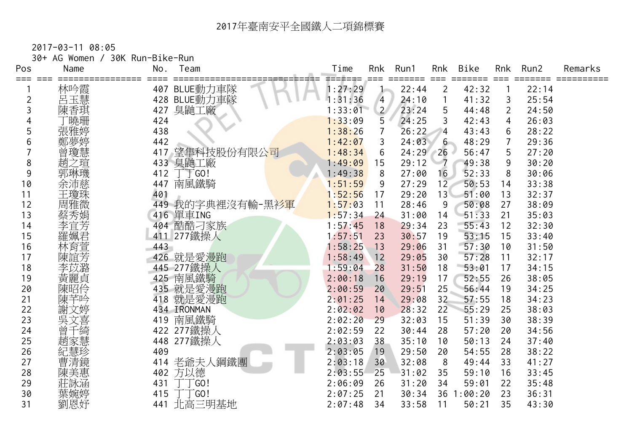| ===            |            |     | Team                           | Time    | Rnk                   | Run1       | Rnk            | <b>Bike</b> | Rnk            | Run2  | Remarks |
|----------------|------------|-----|--------------------------------|---------|-----------------------|------------|----------------|-------------|----------------|-------|---------|
|                | 林吟霞        |     | 407 BLUE動力車隊                   | 1:27:29 |                       | 22:44      | $\overline{2}$ | 42:32       |                | 22:14 |         |
| $\overline{2}$ | 呂玉慧        |     | 428 BLUE動力車隊                   | 1:31:36 | $\overline{4}$        | 24:10      | 1              | 41:32       | 3              | 25:54 |         |
| 3              | 陳香琪        | 427 | 臭鼬工廠                           | 1:33:01 | $\mathbf{2}^{\prime}$ | 23:24      | 5              | 44:48       | $\overline{2}$ | 24:50 |         |
|                | 「曉珊        | 424 |                                | 1:33:09 | 5                     | 24:25      | 3              | 42:43       | 4              | 26:03 |         |
| 5              | 張雅婷        | 438 |                                | 1:38:26 | $\overline{7}$        | 26:22      | 4              | 43:43       | 6              | 28:22 |         |
| 6              | 鄭夢婷        | 442 |                                | 1:42:07 | 3                     | 24:03      | $6 -$          | 48:29       | $\overline{7}$ | 29:36 |         |
|                | 曾瓊慧        | 417 | 望隼科技股份有限公司                     | 1:48:34 | 6                     | $24:29$ 26 |                | 56:47       | 5              | 27:20 |         |
| 8              | 趙<br>之瑄    | 433 | 臭鼬工廠                           | 1:49:09 | 15                    | 29:12      | $-7$           | 49:38       | 9              | 30:20 |         |
| 9              | 郭琳璣        | 412 | 一<br>「GO!                      | 1:49:38 | 8                     | 27:00      | 16             | 52:33       | 8              | 30:06 |         |
| 10             | 余沛慈        | 447 | 南風鐵騎                           | 1:51:59 | 9                     | 27:29      | 12             | 50:53       | 14             | 33:38 |         |
| 11             | 王瓊珠        | 401 |                                | 1:52:56 | 17                    | 29:20      | 13             | 51:00       | 13             | 32:37 |         |
| 12             | 周雅微        |     | 449 我的字典裡沒有輸-黑衫 <mark>軍</mark> | 1:57:03 | 11                    | 28:46      | 9              | 50:08       | 27             | 38:09 |         |
| 13             | 蔡秀娟        |     | 416 單車ING                      | 1:57:34 | 24                    | 31:00      | 14             | 51:33       | 21             | 35:03 |         |
| 14             | 李宜芳        |     | 404 酷酷刁家族                      | 1:57:45 | 18                    | 29:34      | 23             | $-55:43$    | 12             | 32:30 |         |
| 15             | 羅姵君        | 411 | 277鐵操人                         | 1:57:51 | 23                    | 30:57      | 19             | 53:15       | 15             | 33:40 |         |
| 16             | 林育萱        | 443 |                                | 1:58:25 | 13                    | 29:06      | 31             | 57:30       | 10             | 31:50 |         |
| 17             | 陳誼芳        |     | 426 就是愛漫跑                      | 1:58:49 | 12                    | 29:05      | 30             | 57:28       | 11             | 32:17 |         |
| 18             | 李苡潞        |     | 445 277鐵操人                     | 1:59:04 | 28                    | 31:50      | 18             | 53:01       | 17             | 34:15 |         |
| 19             | 黃麗貞<br>陳昭伶 |     | 425 南風鐵騎                       | 2:00:18 | 16                    | 29:19      | 17             | 52:55       | 26             | 38:05 |         |
| 20             |            |     | 435 就是愛漫跑                      | 2:00:59 | 20                    | 29:51      | 25             | 56:44       | 19             | 34:25 |         |
| 21             | 陳芊吟        | 418 | 就是愛漫跑                          | 2:01:25 | 14                    | 29:08      | 32             | 57:55       | 18             | 34:23 |         |
| 22             | 謝文婷        |     | 434 IRONMAN                    | 2:02:02 | 10                    | 28:32      | 22             | 55:29       | 25             | 38:03 |         |
| 23             | 吳文喜        | 419 | 南風鐵騎                           | 2:02:20 | 29                    | 32:03      | 15             | 51:39       | 30             | 38:39 |         |
| 24             | 曾千綺        |     | 422 277鐵操人                     | 2:02:59 | 22                    | 30:44      | 28             | 57:20       | 20             | 34:56 |         |
| 25             | 趙家慧        | 448 | 277鐵操人                         | 2:03:03 | 38                    | 35:10      | 10             | 50:13       | 24             | 37:40 |         |
| 26             | 紀慧珍        | 409 |                                | 2:03:05 | 19                    | 29:50      | 20             | 54:55       | 28             | 38:22 |         |
| 27             | 曹清鏡        | 414 | 老爺夫人鋼鐵團                        | 2:03:18 | 30                    | 32:08      | 8              | 49:44       | 33             | 41:27 |         |
| 28             | 陳美惠        |     | 402 方以德                        | 2:03:55 | 25                    | 31:02      | 35             | 59:10       | 16             | 33:45 |         |
| 29             | 莊詠涵        | 431 | -GO!                           | 2:06:09 | 26                    | 31:20      | 34             | 59:01       | 22             | 35:48 |         |
| 30             | 葉婉婷        | 415 | `TG0!                          | 2:07:25 | 21                    | 30:34      |                | 36 1:00:20  | 23             | 36:31 |         |
| 31             | 劉恩妤        | 441 | 北高三明基地                         | 2:07:48 | 34                    | 33:58      | 11             | 50:21       | 35             | 43:30 |         |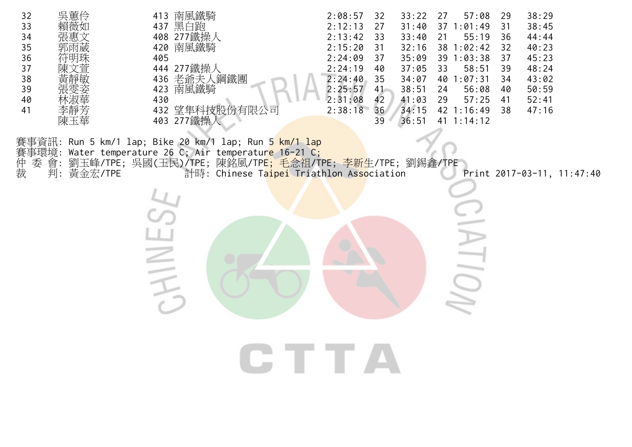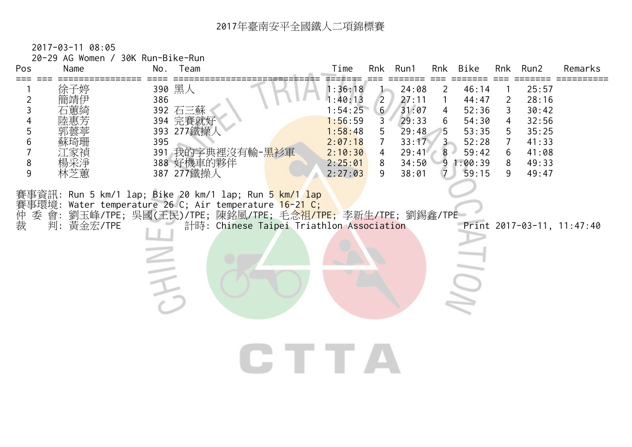| Pos<br>=== === | 20-29 AG Women / 30K Run-Bike-Run<br>Name |     | No. Team                                                                                                                                                                                                                                                         | Time<br>=======    |                     | Rnk Run1       |                   | Rnk Bike          |                                  | Rnk Run2       | Remarks                    |
|----------------|-------------------------------------------|-----|------------------------------------------------------------------------------------------------------------------------------------------------------------------------------------------------------------------------------------------------------------------|--------------------|---------------------|----------------|-------------------|-------------------|----------------------------------|----------------|----------------------------|
| 2              | 徐子婷                                       | 386 | 390 黑人                                                                                                                                                                                                                                                           | 1:36:18<br>1:40:13 | $\overline{2}$      | 24:08<br>27:11 | 2<br>$\mathbf{1}$ | 46:14<br>44:47    | $\overline{2}$                   | 25:57<br>28:16 |                            |
| 3              |                                           |     | 392 石三蘇                                                                                                                                                                                                                                                          | 1:54:25            | 6 <sup>7</sup>      | 31:07          | 4                 | 52:36             | 3                                | 30:42          |                            |
| 5              |                                           |     | 394 完賽就好<br>393 277鐵操                                                                                                                                                                                                                                            | 1:56:59<br>1:58:48 | $\mathfrak{Z}$<br>5 | 29:33<br>29:48 | 6<br>5            | 54:30<br>53:35    | 4<br>5                           | 32:56<br>35:25 |                            |
| 6              |                                           | 395 | 391 我的字典裡沒有輸- <u>黑衫軍</u>                                                                                                                                                                                                                                         | 2:07:18<br>2:10:30 | $\mathcal{I}$<br>4  | 33:17<br>29:41 | $3 -$<br>$8 -$    | 52:28<br>59:42    | $\overline{7}$<br>$6\phantom{1}$ | 41:33<br>41:08 |                            |
| 8<br>9         | 林芝薫                                       |     | 388 好機車的夥伴<br>387 277鐵操人                                                                                                                                                                                                                                         | 2:25:01<br>2:27:03 | 8<br>9              | 34:50<br>38:01 | 7                 | 91:00:39<br>59:15 | 8<br>9                           | 49:33<br>49:47 |                            |
|                |                                           |     |                                                                                                                                                                                                                                                                  |                    |                     |                |                   |                   |                                  |                |                            |
|                |                                           |     | 賽事資訊: Run 5 km/1 lap; Bike 20 km/1 lap; Run 5 km/1 lap                                                                                                                                                                                                           |                    |                     |                |                   |                   |                                  |                |                            |
|                |                                           |     | 賽事環境: Water temperature 26 C; Air temperature 16-21 C;<br>仲 委 會: 劉玉峰/TPE; 吳國(王民)/TPE; 陳銘風/TPE; 毛念祖/TI<br>裁   判: 黃金宏/TPE      計時: Chinese Taipei Triath<br>會: 劉玉峰/TPE; 吳國(王民)/TPE; 陳銘風/TPE; 毛念祖/TPE; 李新生/TPE; 劉錫鑫/TPE<br>計時: Chinese Taipei Triathlon Association |                    |                     |                |                   |                   |                                  |                | Print 2017-03-11, 11:47:40 |
|                |                                           |     |                                                                                                                                                                                                                                                                  |                    |                     |                |                   |                   |                                  |                |                            |
|                |                                           |     |                                                                                                                                                                                                                                                                  |                    |                     |                |                   |                   |                                  |                |                            |
|                |                                           | TH  |                                                                                                                                                                                                                                                                  |                    |                     |                |                   | J                 |                                  |                |                            |
|                |                                           |     |                                                                                                                                                                                                                                                                  |                    |                     |                |                   |                   |                                  |                |                            |
|                |                                           |     |                                                                                                                                                                                                                                                                  |                    |                     |                |                   |                   |                                  |                |                            |
|                |                                           |     |                                                                                                                                                                                                                                                                  |                    |                     |                |                   |                   |                                  |                |                            |
|                |                                           |     |                                                                                                                                                                                                                                                                  | CTTA               |                     |                |                   |                   |                                  |                |                            |
|                |                                           |     |                                                                                                                                                                                                                                                                  |                    |                     |                |                   |                   |                                  |                |                            |
|                |                                           |     |                                                                                                                                                                                                                                                                  |                    |                     |                |                   |                   |                                  |                |                            |
|                |                                           |     |                                                                                                                                                                                                                                                                  |                    |                     |                |                   |                   |                                  |                |                            |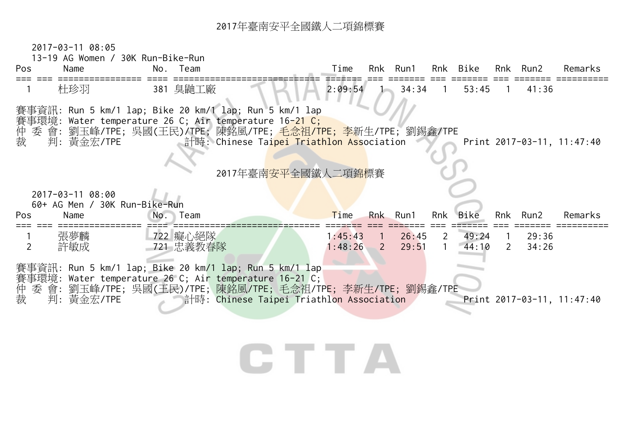2017-03-11 08:05



## CTTA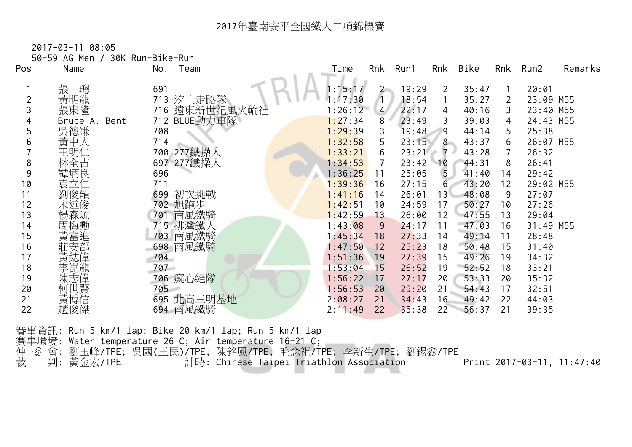2017-03-11 08:05

50-59 AG Men / 30K Run-Bike-Run

| Pos | Name                | No. | Team         | Time    | Rnk            | Run1  | Rnk             | <b>Bike</b> | Rnk | Run2      | Remarks |
|-----|---------------------|-----|--------------|---------|----------------|-------|-----------------|-------------|-----|-----------|---------|
|     | 張<br>璁              | 691 |              | 1:15:17 | $2 -$          | 19:29 | 2               | 35:47       |     | 20:01     |         |
|     | 黃明龍                 | 713 | 汐止走路隊        | 1:17:30 |                | 18:54 |                 | 35:27       | 2   | 23:09 M55 |         |
|     | 張東隆                 | 716 | 遠東新世紀風火輪社    | 1:26:12 | $\overline{4}$ | 22:17 | 4               | 40:16       | 3   | 23:40 M55 |         |
|     | Bent<br>Bruce<br>Α. |     | 712 BLUE動力車隊 | 1:27:34 | 8              | 23:49 | 3               | 39:03       | 4   | 24:43 M55 |         |
|     | 吳德謙                 | 708 |              | 1:29:39 | 3              | 19:48 | 9               | 44:14       | 5.  | 25:38     |         |
|     | 黃中                  | 714 |              | 1:32:58 | 5              | 23:15 | 8               | 43:37       | 6   | 26:07 M55 |         |
|     | 王明仁                 |     | 700 277鐵操人   | 1:33:21 | 6              | 23:21 | 7<br>s.         | 43:28       | 7   | 26:32     |         |
| 8   | 林全吉                 |     | 697 277鐵操人   | 1:34:53 |                | 23:42 | 10              | 44:31       | 8   | 26:41     |         |
| 9   | 譚炳良                 | 696 |              | 1:36:25 | 11             | 25:05 | $\sqrt{5}$      | 41:40       | 14  | 29:42     |         |
| 10  | 袁立仁                 | 711 |              | 1:39:36 | 16             | 27:15 | 6               | 43:20       | 12  | 29:02 M55 |         |
|     | 劉俊韻                 | 699 | 初次挑戰         | 1:41:16 | 14             | 26:01 | 13 <sup>1</sup> | 48:08       | 9   | 27:07     |         |
| 12  | 宋述俊                 |     | 702 旭跑步      | 1:42:51 | 10             | 24:59 | 17              | 50:27       | 10  | 27:26     |         |
| 13  |                     | 701 | 南風鐵騎         | 1:42:59 | 13             | 26:00 | 12              | 47:55       | 13  | 29:04     |         |
| 14  | 周梅勳                 |     | 715 排灣鐵人     | 1:43:08 | 9              | 24:17 | 11              | 47:03       | 16  | 31:49 M55 |         |
| 15  | 黃富進                 | 703 | 南風鐵騎         | 1:45:34 | 18             | 27:33 | 14              | 49:14       | 11  | 28:48     |         |
| 16  |                     |     | 698 南風鐵騎     | 1:47:50 | 12             | 25:23 | 18              | 50:48       | 15  | 31:40     |         |
| 17  |                     | 704 |              | 1:51:36 | 19             | 27:39 | 15              | 49:26       | 19  | 34:32     |         |
| 18  | 李崑龍                 | 707 |              | 1:53:04 | 15             | 26:52 | 19              | 52:52       | 18  | 33:21     |         |
| 19  | 陳志偉                 |     | 706 癡心絕隊     | 1:56:22 | 17             | 27:17 | 20              | 53:33       | 20  | 35:32     |         |
| 20  | 柯世賢                 | 705 |              | 1:56:53 | 20             | 29:20 | 21              | 54:43       | 17  | 32:51     |         |
| 21  | 黃博信                 |     | 695 北高三明基地   | 2:08:27 | 21             | 34:43 | 16              | 49:42       | 22  | 44:03     |         |
| 22  | 趙俊傑                 |     | 694 南風鐵騎     | 2:11:49 | 22             | 35:38 | 22              | 56:37       | 21  | 39:35     |         |

賽事資訊: Run 5 km/1 lap; Bike 20 km/1 lap; Run 5 km/1 lap 賽事環境: Water temperature 26 C; Air temperature 16-21 C; 仲 委 會: 劉玉峰/TPE; 吳國(王民)/TPE; 陳銘風/TPE; 毛念祖/TPE; 李新生/TPE; 劉錫鑫/TPE 裁 判: 黃金宏/TPE 計時: Chinese Taipei Triathlon Association Print 2017-03-11, 11:47:40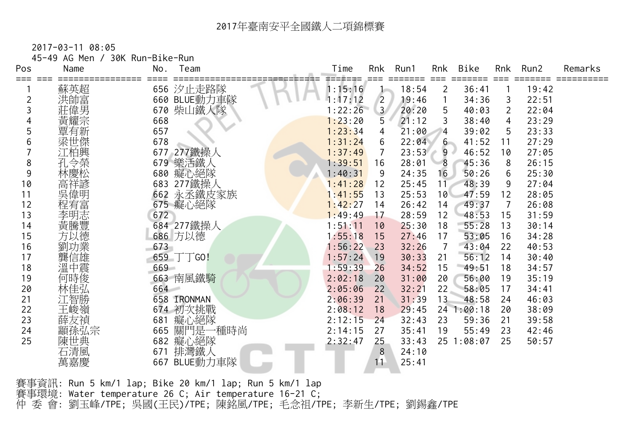2017-03-11 08:05

| Pos | 45-49 AG Men / 30K Run-Bike-Run<br>Name | No.<br>Team     | Time    | Rnk            | Run1  | Rnk            | Bike<br>====== |    | Rnk Run2 | Remarks |
|-----|-----------------------------------------|-----------------|---------|----------------|-------|----------------|----------------|----|----------|---------|
|     | 蘇英超                                     | 656 汐止走路隊       | 1:15:16 |                | 18:54 | $\overline{2}$ | 36:41          |    | 19:42    |         |
| 2   | 洪帥富                                     | 660 BLUE動力車隊    | 1:17:12 | $\overline{2}$ | 19:46 | $\mathbf{1}$   | 34:36          | 3  | 22:51    |         |
|     | 莊偉男                                     | 670 柴山鐵人隊       | 1:22:26 | 3 <sup>7</sup> | 20:20 | 5              | 40:03          | 2  | 22:04    |         |
|     | 黃耀宗                                     | 668             | 1:23:20 | 5              | 21:12 | 3              | 38:40          | 4  | 23:29    |         |
| 5   | 覃有新                                     | 657             | 1:23:34 | 4              | 21:00 | $\overline{4}$ | 39:02          | 5  | 23:33    |         |
| 6   | 梁世傑                                     | 678             | 1:31:24 | 6              | 22:04 | $6 -$          | 41:52          | 11 | 27:29    |         |
|     | 江柏興                                     | 677 277鐵操人      | 1:37:49 | 7              | 23:53 | $9 \cdot$      | 46:52          | 10 | 27:05    |         |
| 8   | 孔令榮                                     | 679 樂活鐵人        | 1:39:51 | 16             | 28:01 | 8              | 45:36          | 8  | 26:15    |         |
| 9   |                                         | 680 癡心絕隊        | 1:40:31 | 9              | 24:35 | 16             | 50:26          | 6  | 25:30    |         |
| 10  | 高祥諺                                     | 683 277鐵操人      | 1:41:28 | 12             | 25:45 | 11             | 48:39          | 9  | 27:04    |         |
| 11  | 吳偉明                                     | 662 永丞鐵皮家族      | 1:41:55 | 13             | 25:53 | 10             | 47:59          | 12 | 28:05    |         |
| 12  | 程宥富                                     | 675 癡心絕隊        | 1:42:27 | 14             | 26:42 | 14             | 49:37          | 7  | 26:08    |         |
| 13  | 李明志                                     | 672             | 1:49:49 | 17             | 28:59 | 12             | 48:53          | 15 | 31:59    |         |
| 14  | 黃騰豐                                     | 684 277鐵操人      | 1:51:11 | 10             | 25:30 | 18             | 55:28          | 13 | 30:14    |         |
| 15  | 方以德                                     | 686 方以德         | 1:55:18 | 15             | 27:46 | 17             | 53:05          | 16 | 34:28    |         |
| 16  | 劉功業                                     | 673             | 1:56:22 | 23             | 32:26 | $\overline{7}$ | 43:04          | 22 | 40:53    |         |
| 17  | 龔信雄                                     | 659 $\top$ TGO! | 1:57:24 | 19             | 30:33 | 21             | 56:12          | 14 | 30:40    |         |
| 18  | 溫中震                                     | 669             | 1:59:39 | 26             | 34:52 | 15             | 49:51          | 18 | 34:57    |         |
| 19  | 何時俊                                     | 663 南風鐵騎        | 2:02:18 | 20             | 31:00 | 20             | 56:00          | 19 | 35:19    |         |
| 20  | 林佳弘                                     | 664             | 2:05:06 | 22             | 32:21 | 22             | 58:05          | 17 | 34:41    |         |
| 21  | 江智勝                                     | 658 IRONMAN     | 2:06:39 | 21             | 31:39 | 13             | 48:58          | 24 | 46:03    |         |
| 22  | 王峻嶺                                     | 674 初次挑戰        | 2:08:12 | 18             | 29:45 |                | 24 1:00:18     | 20 | 38:09    |         |
| 23  | 薛友禎                                     | 681 癡心絕隊        | 2:12:15 | 24             | 32:43 | 23             | 59:36          | 21 | 39:58    |         |
| 24  | 顓孫弘宗                                    | 665 關門是一種時尚     | 2:14:15 | 27             | 35:41 | 19             | 55:49          | 23 | 42:46    |         |
| 25  | 陳世典                                     | 682 癡心絕隊        | 2:32:47 | 25             | 33:43 |                | 25 1:08:07     | 25 | 50:57    |         |
|     | 石清風                                     | 671 排灣鐵人        |         | 8              | 24:10 |                |                |    |          |         |
|     | 萬嘉慶                                     | 667 BLUE動力車隊    |         | 11             | 25:41 |                |                |    |          |         |

賽事資訊: Run 5 km/1 lap; Bike 20 km/1 lap; Run 5 km/1 lap 賽事環境: Water temperature 26 C; Air temperature 16-21 C; 仲 委 會: 劉玉峰/TPE; 吳國(王民)/TPE; 陳銘風/TPE; 毛念祖/TPE; 李新生/TPE; 劉錫鑫/TPE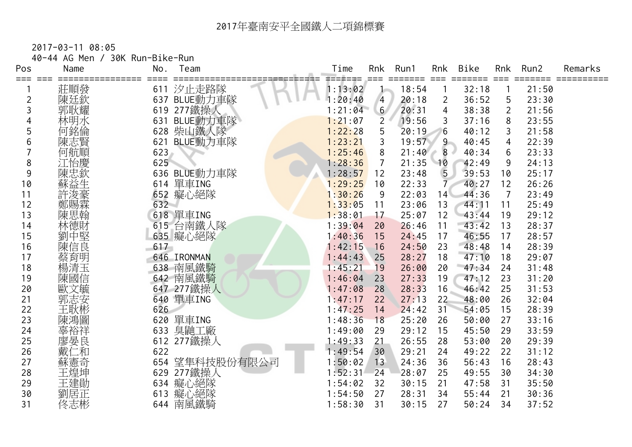|            | 40-44 AG Men / | 30K Run-Bike-Run |              |         |                |       |                |               |                |               |         |
|------------|----------------|------------------|--------------|---------|----------------|-------|----------------|---------------|----------------|---------------|---------|
| Pos<br>=== | Name           | No.              | Team         | Time    | Rnk            | Run1  | Rnk<br>$==$    | Bike<br>===== | Rnk            | Run2<br>===== | Remarks |
|            | 莊順發            | 611              | 汐止走路隊        | 1:13:02 |                | 18:54 |                | 32:18         |                | 21:50         |         |
| 2          | 陳廷欽            |                  | 637 BLUE動力車隊 | 1:20:40 | $\overline{4}$ | 20:18 | $\overline{2}$ | 36:52         | 5              | 23:30         |         |
| 3          | 郭耿耀            |                  | 619 277 鐵操人  | 1:21:04 | 6 <sup>7</sup> | 20:31 | $\overline{4}$ | 38:38         | $\overline{2}$ | 21:56         |         |
|            | 林明水            | 631              | BLUE動力車隊     | 1:21:07 | $\overline{2}$ | 19:56 | 3              | 37:16         | 8              | 23:55         |         |
| 5          | 何銘倫            |                  | 628 柴山鐵人隊    | 1:22:28 | 5              | 20:19 | 6              | 40:12         | 3              | 21:58         |         |
| 6          | 陳志賢            |                  | 621 BLUE動力車隊 | 1:23:21 | 3              | 19:57 | 9              | 40:45         | 4              | 22:39         |         |
|            | 何航順            | 623              |              | 1:25:46 | 8              | 21:40 | $8 -$<br>o     | 40:34         | 6              | 23:33         |         |
| 8          | 江怡慶            | 625              |              | 1:28:36 | 7              | 21:35 | 10             | 42:49         | 9              | 24:13         |         |
| 9          | 陳忠欽            |                  | 636 BLUE動力車隊 | 1:28:57 | 12             | 23:48 | 5 <sub>1</sub> | 39:53         | 10             | 25:17         |         |
| 10         | 蘇益生            |                  | 614 單車ING    | 1:29:25 | 10             | 22:33 | $\mathcal{T}$  | 40:27         | 12             | 26:26         |         |
| 11         | 許浚豪            |                  | 652 癡心絕隊     | 1:30:26 | 9              | 22:03 | 14             | 44:36         | $\overline{7}$ | 23:49         |         |
| 12         | 鄭賜霖            | 632              |              | 1:33:05 | 11             | 23:06 | 13             | 44:11         | 11             | 25:49         |         |
| 13         | 陳思翰            |                  | 618 單車ING    | 1:38:01 | 17             | 25:07 | 12             | 43:44         | 19             | 29:12         |         |
| 14         | 林德財            |                  | 615 台南鐵人隊    | 1:39:04 | 20             | 26:46 | 11             | 43:42         | 13             | 28:37         |         |
| 15         | 劉中堅            |                  | 635 癡心絕隊     | 1:40:36 | 15             | 24:45 | 17             | 46:55         | 17             | 28:57         |         |
| 16         | 陳信良            | 617              |              | 1:42:15 | 16             | 24:50 | 23             | 48:48         | 14             | 28:39         |         |
| 17         | 蔡育明            |                  | 646 IRONMAN  | 1:44:43 | 25             | 28:27 | 18             | 47:10         | 18             | 29:07         |         |
| 18         | 楊清玉            |                  | 638 南風鐵騎     | 1:45:21 | 19             | 26:00 | 20             | 47:34         | 24             | 31:48         |         |
| 19         | 陳國信            |                  | 642 南風鐵騎     | 1:46:04 | 23             | 27:33 | 19             | 47:12         | 23             | 31:20         |         |
| 20         | 歐文毓            |                  | 647 277鐵操人   | 1:47:08 | 28             | 28:33 | 16             | 46:42         | 25             | 31:53         |         |
| 21         | 郭志安            |                  | 640 單車ING    | 1:47:17 | 22             | 27:13 | 22             | 48:00         | 26             | 32:04         |         |
| 22         | 主耿彬            | 626              |              | 1:47:25 | 14             | 24:42 | 31             | 54:05         | 15             | 28:39         |         |
| 23         | 陳鴻圖            |                  | 620 單車ING    | 1:48:36 | 18             | 25:20 | 26             | 50:00         | 27             | 33:16         |         |
| 24         | 辜裕祥            | 633              | 臭鼬工廠         | 1:49:00 | 29             | 29:12 | 15             | 45:50         | 29             | 33:59         |         |
| 25         | 廖晏良            |                  | 612 277鐵操人   | 1:49:33 | 21             | 26:55 | 28             | 53:00         | 20             | 29:39         |         |
| 26         | 二和             | 622              |              | 1:49:54 | 30             | 29:21 | 24             | 49:22         | 22             | 31:12         |         |
| 27         | 蘇憲奇            | 654              | 望隼科技股份有限公司   | 1:50:02 | 13             | 24:36 | 36             | 56:43         | 16             | 28:43         |         |
| 28         | 王煌坤            |                  | 629 277鐵操人   | 1:52:31 | 24             | 28:07 | 25             | 49:55         | 30             | 34:30         |         |
| 29         | 王建勛            |                  | 634 癡心絕隊     | 1:54:02 | 32             | 30:15 | 21             | 47:58         | 31             | 35:50         |         |
| 30         | 劉居正            |                  | 613 癡心絕隊     | 1:54:50 | 27             | 28:31 | 34             | 55:44         | 21             | 30:36         |         |
| 31         | 佟志彬            |                  | 644 南風鐵騎     | 1:58:30 | 31             | 30:15 | 27             | 50:24         | 34             | 37:52         |         |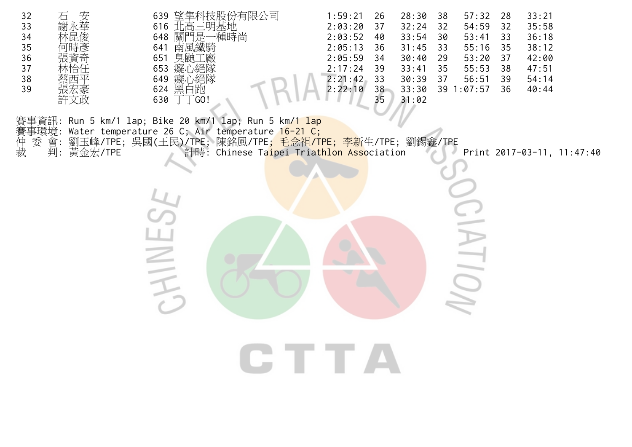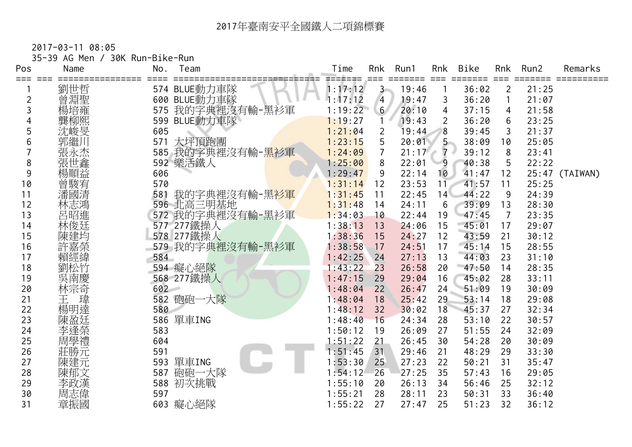|  | 35-39 AG Men / 30K Run-Bike-Run |
|--|---------------------------------|
|  |                                 |

| Pos            | Name           | No. | Team                           | Time               | Rnk            | Run1  | Rnk            | <b>Bike</b> | Rnk            | Run2  | Remarks        |
|----------------|----------------|-----|--------------------------------|--------------------|----------------|-------|----------------|-------------|----------------|-------|----------------|
| ===            | 劉世哲            |     | 574 BLUE動力車隊                   | =======<br>1:17:12 | $3 -$          | 19:46 |                | 36:02       | 2              | 21:25 |                |
| $\overline{2}$ | 曾淵聖            |     | 600 BLUE動力車隊                   | 1:17:12            | $\overline{4}$ | 19:47 | 3              | 36:20       |                | 21:07 |                |
| 3              | 楊培雍            | 575 | 我的字典裡沒有輸-黑衫軍                   | 1:19:22            | 6 <sup>7</sup> | 20:10 | $\overline{4}$ | 37:15       | 4              | 21:58 |                |
|                | 龔柳熙            |     | 599 BLUE動力車隊                   | 1:19:27            |                | 19:43 | $\overline{2}$ | 36:20       | 6              | 23:25 |                |
| 5              | 沈峻旻            | 605 |                                | 1:21:04            | 2              | 19:44 | 8              | 39:45       | 3              | 21:37 |                |
| 6              | 郭繼川            | 571 | 大坪頂跑團                          | 1:23:15            | 5              | 20:01 | $5 -$          | 38:09       | 10             | 25:05 |                |
|                | 張永杰            |     | 585 我的字典裡沒有輸- <mark>黑衫軍</mark> | 1:24:09            | $\overline{7}$ | 21:17 | $7 \cdot$<br>o | 39:12       | 8              | 23:41 |                |
| 8              | 張世鑫            |     | 592 樂活鐵人                       | 1:25:00            | 8              | 22:01 | 9              | 40:38       | 5              | 22:22 |                |
| 9              | 楊順益            | 606 |                                | 1:29:47            | 9              | 22:14 | 10             | 41:47       | 12             |       | 25:47 (TAIWAN) |
| 10             |                | 570 |                                | 1:31:14            | 12             | 23:53 | 11             | 41:57       | 11             | 25:25 |                |
| 11             | 普<br>藤宥<br>潘國清 | 581 | 我的字典裡沒有輸-黑 <mark>衫軍</mark>     | 1:31:45            | 11             | 22:45 | 14             | 44:22       | 9              | 24:39 |                |
| 12             | 林志鴻            |     | 596 北高三明基地                     | 1:31:48            | 14             | 24:11 | 6              | 39:09       | 13             | 28:30 |                |
| 13             | 呂昭進            |     | 572 我的字典裡沒有輸-黑衫軍               | 1:34:03            | 10             | 22:44 | 19             | 47:45       | $\overline{7}$ | 23:35 |                |
| 14             | 林俊廷            |     | 577 277鐵操人                     | 1:38:13            | 13             | 24:06 | 15             | 45:01       | 17             | 29:07 |                |
| 15             | 陳建均            |     | 578 277鐵操人                     | 1:38:36            | 15             | 24:27 | 12             | 43:59       | 21             | 30:12 |                |
| 16             | 許嘉榮            |     | 579 我的字典裡沒有輸-黑衫軍               | 1:38:58            | 17             | 24:51 | 17             | 45:14       | 15             | 28:55 |                |
| 17             | 賴經緯            | 584 |                                | 1:42:25            | 24             | 27:13 | 13             | 44:03       | 23             | 31:10 |                |
| 18             | 劉松竹            |     | 594 癡心絕隊                       | 1:43:22            | 23             | 26:58 | 20             | 47:50       | 14             | 28:35 |                |
| 19             | 吳南慶            |     | 568 277鐵操人                     | 1:47:15            | 29             | 29:04 | 16             | 45:02       | 28             | 33:11 |                |
| 20             | 林宗奇            | 602 |                                | 1:48:04            | 22             | 26:47 | 24             | 51:09       | 19             | 30:09 |                |
| 21             | 瑋<br>王         | 582 | 砲砲一大隊                          | 1:48:04            | 18             | 25:42 | 29             | 53:14       | 18             | 29:08 |                |
| 22             | 楊明達            | 580 |                                | 1:48:12            | 32             | 30:02 | 18             | 45:37       | 27             | 32:34 |                |
| 23             | 陳盈廷            |     | 586 單車ING                      | 1:48:40            | 16             | 24:34 | 28             | 53:10       | 22             | 30:57 |                |
| 24             | 李逢榮            | 583 |                                | 1:50:12            | 19             | 26:09 | 27             | 51:55       | 24             | 32:09 |                |
| 25             | 周學禮            | 604 |                                | 1:51:22            | 21             | 26:45 | 30             | 54:28       | 20             | 30:09 |                |
| 26             | 莊勝元            | 591 |                                | 1:51:45            | 31             | 29:46 | 21             | 48:29       | 29             | 33:30 |                |
| 27             | 陳建元            | 593 | 單車ING                          | 1:53:30            | 25             | 27:23 | 22             | 50:21       | 31             | 35:47 |                |
| 28             | 陳郁文            | 587 | 砲砲一大隊                          | 1:54:12            | 26             | 27:25 | 35             | 57:43       | 16             | 29:05 |                |
| 29             | 李政漢            | 588 | 初次挑戰                           | 1:55:10            | 20             | 26:13 | 34             | 56:46       | 25             | 32:12 |                |
| 30             | 周志偉            | 597 |                                | 1:55:21            | 28             | 28:11 | 23             | 50:31       | 33             | 36:40 |                |
| 31             | 章振國            |     | 603 癡心絕隊                       | 1:55:22            | 27             | 27:47 | 25             | 51:23       | 32             | 36:12 |                |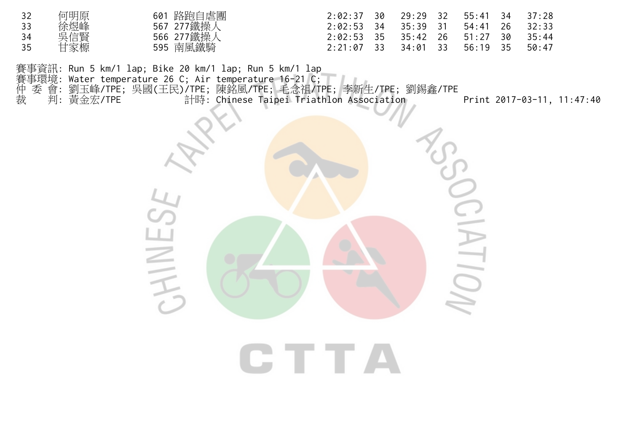| 32 | 何明原 | 601 路跑自虐團  | $2:02:37$ 30                         |  | 29:29 32 55:41 34 37:28 |       |
|----|-----|------------|--------------------------------------|--|-------------------------|-------|
| 33 | 徐煜峰 | 567 277鐵操人 | $2:02:53$ 34 35:39 31 54:41 26 32:33 |  |                         |       |
| 34 | 吳信賢 | 566 277鐵操人 | $2:02:53$ 35                         |  | 35:42 26 51:27 30       | 35:44 |
| 35 | 甘家榞 | 595 南風鐵騎   | $2:21:07$ 33                         |  | 34:01 33 56:19 35       | 50:47 |

**CTTA** 

賽事資訊: Run 5 km/1 lap; Bike 20 km/1 lap; Run 5 km/1 lap 賽事環境: Water temperature 26 C; Air temperature 16-21 C; 仲 委 會: 劉玉峰/TPE; 吳國(王民)/TPE; 陳銘風/TPE; 毛念祖/TPE; 李新生/TPE; 劉錫鑫/TPE 裁 判: 黃金宏/TPE 計時: Chinese Taipei Triathlon Association Print 2017-03-11, 11:47:40

HINES

 $\sum_{i=1}^{n}$ 

 $\geq$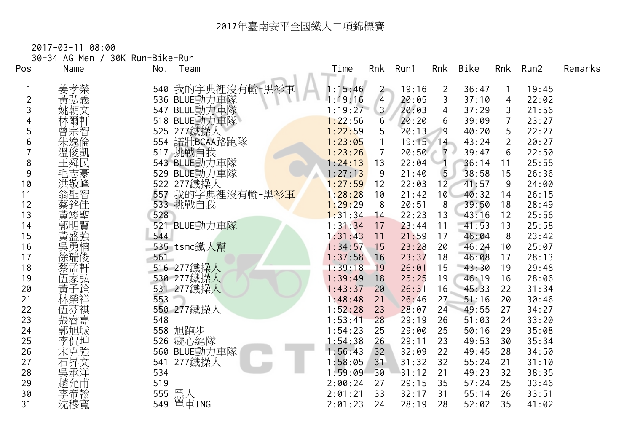2017-03-11 08:00

30-34 AG Men / 30K Run-Bike-Run

| Pos            | Name | No. | Team             | Time               | Rnk            | Run1       | Rnk            | <b>Bike</b> | Rnk            | Run2  | Remarks |
|----------------|------|-----|------------------|--------------------|----------------|------------|----------------|-------------|----------------|-------|---------|
|                | 姜孝榮  |     | 540 我的字典裡沒有輸-黑衫軍 | =======<br>1:15:46 | $2 -$          | 19:16      | $\overline{2}$ | 36:47       |                | 19:45 |         |
| $\overline{c}$ | 黃弘義  |     | 536 BLUE動力車隊     | 1:19:16            | $\overline{4}$ | 20:05      | 3              | 37:10       | 4              | 22:02 |         |
| 3              | 姚朝文  |     | 547 BLUE動力車隊     | 1:19:27            | 3 <sup>7</sup> | 20:03      | $\overline{4}$ | 37:29       | 3              | 21:56 |         |
|                |      |     | 518 BLUE動力車隊     | 1:22:56            | 6              | 20:20      | 6              | 39:09       | $\overline{7}$ | 23:27 |         |
|                | 曾宗智  |     | 525 277鐵操人       | 1:22:59            | 5              | 20:13      | 9              | 40:20       | 5              | 22:27 |         |
| 6              | 朱逸倫  | 554 | 諾壯BCAA路跑隊        | 1:23:05            |                | $19:15$ 14 |                | 43:24       | $\overline{2}$ | 20:27 |         |
|                | 溫俊凱  |     | 517 挑戰自我         | 1:23:26            | 7              | 20:50      | $7 \cdot$      | 39:47       | 6              | 22:50 |         |
| 8              | 王舜民  |     | 543 BLUE動力車隊     | 1:24:13            | 13             | 22:04      |                | 36:14       | 11             | 25:55 |         |
| 9              | 毛志豪  |     | 529 BLUE動力車隊     | 1:27:13            | 9              | 21:40      | 5              | 38:58       | 15             | 26:36 |         |
| 10             | 洪敬峰  |     | 522 277鐵操人       | 1:27:59            | 12             | 22:03      | 12             | 41:57       | 9              | 24:00 |         |
| 11             |      | 557 | 我的字典裡沒有輸-黑衫軍     | 1:28:28            | 10             | 21:42      | 10             | 40:32       | 14             | 26:15 |         |
| 12             |      |     | 533 挑戰自我         | 1:29:29            | 8              | 20:51      | 8              | 39:50       | 18             | 28:49 |         |
| 13             | 黃竣聖  | 528 |                  | 1:31:34            | 14             | 22:23      | 13             | 43:16       | 12             | 25:56 |         |
| 14             | 郭明賢  |     | 521 BLUE動力車隊     | 1:31:34            | 17             | 23:44      | 11             | 41:53       | 13             | 25:58 |         |
| 15             |      | 544 |                  | 1:31:43            | 11             | 21:59      | 17             | 46:04       | 8              | 23:42 |         |
| 16             | 吳勇楠  |     | 535 tsmc鐵人幫      | 1:34:57            | 15             | 23:28      | 20             | 46:24       | 10             | 25:07 |         |
| 17             | 涂瑞俊  | 561 |                  | 1:37:58            | 16             | 23:37      | 18             | 46:08       | 17             | 28:13 |         |
| 18             | 蔡孟軒  |     | 516 277鐵操人       | 1:39:18            | 19             | 26:01      | 15             | 43:30       | 19             | 29:48 |         |
| 19             | 伍家弘  |     | 530 277鐵操人       | 1:39:49            | 18             | 25:25      | 19             | 46:19       | 16             | 28:06 |         |
| 20             |      |     | 531 277鐵操人       | 1:43:37            | 20             | 26:31      | 16             | 45:33       | 22             | 31:34 |         |
| 21             | 林榮祥  | 553 |                  | 1:48:48            | 21             | 26:46      | 27             | 51:16       | 20             | 30:46 |         |
| 22             | 伍芬祺  |     | 550 277鐵操人       | 1:52:28            | 23             | 28:07      | 24             | 49:55       | 27             | 34:27 |         |
| 23             | 張睿嘉  | 548 |                  | 1:53:41            | 28             | 29:19      | 26             | 51:03       | 24             | 33:20 |         |
| 24             | 郭旭城  |     | 558 旭跑步          | 1:54:23            | 25             | 29:00      | 25             | 50:16       | 29             | 35:08 |         |
| 25             | 李侃坤  |     | 526 癡心絕隊         | 1:54:38            | 26             | 29:11      | 23             | 49:53       | 30             | 35:34 |         |
| 26             | 宋克強  |     | 560 BLUE動力車隊     | 1:56:43            | 32             | 32:09      | 22             | 49:45       | 28             | 34:50 |         |
| 27             | 石昇文  | 541 | 277鐵操人           | 1:58:05            | 31             | 31:32      | 32             | 55:24       | 21             | 31:10 |         |
| 28             | 吳承洋  | 534 |                  | 1:59:09            | 30             | 31:12      | 21             | 49:23       | 32             | 38:35 |         |
| 29             | 趙允甫  | 519 |                  | 2:00:24            | 27             | 29:15      | 35             | 57:24       | 25             | 33:46 |         |
| 30             | 李帝翰  | 555 | 黑人               | 2:01:21            | 33             | 32:17      | 31             | 55:14       | 26             | 33:51 |         |
| 31             | 沈穆寬  | 549 | 單車ING            | 2:01:23            | 24             | 28:19      | 28             | 52:02       | 35             | 41:02 |         |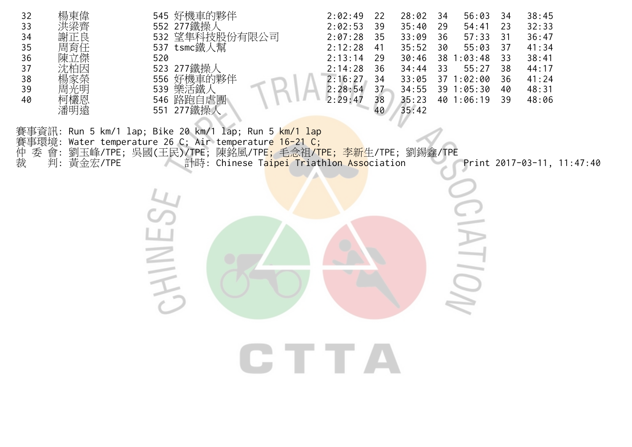![](_page_13_Picture_0.jpeg)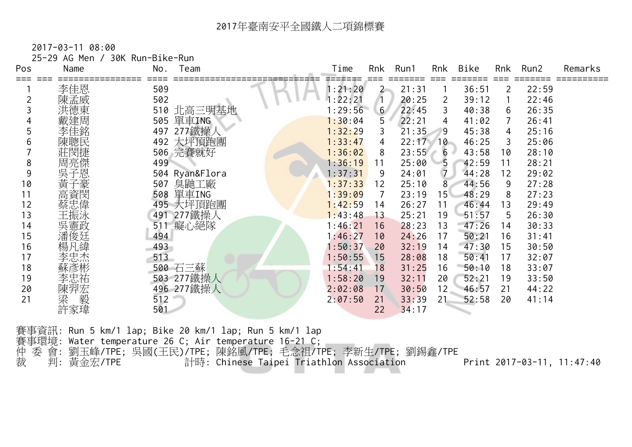2017-03-11 08:00

| Pos | Name            | 25-29 AG Men / 30K Run-Bike-Run<br>No.<br>Team | Time    | Rnk            | Run1       | Rnk             | Bike  | Rnk | Run2  | Remarks |
|-----|-----------------|------------------------------------------------|---------|----------------|------------|-----------------|-------|-----|-------|---------|
| === | 李佳恩             | 509                                            | 1:21:20 | $2 -$          | 21:31      |                 | 36:51 | 2   | 22:59 |         |
|     | 陳孟威             | 502                                            | 1:22:21 | $\sqrt{1}$     | 20:25      | 2               | 39:12 |     | 22:46 |         |
|     | 洪德東             | 510 北高三明基地                                     | 1:29:56 | 6 <sup>1</sup> | 22:45      | 3               | 40:38 | 6   | 26:35 |         |
|     | 戴建周             | 505 單車ING                                      | 1:30:04 | 5              | 22:21      | 4               | 41:02 | 7   | 26:41 |         |
|     |                 | 277鐵操<br>497                                   | 1:32:29 | 3              | 21:35      | 9               | 45:38 | 4   | 25:16 |         |
|     | 陳聰民             | 492 大坪頂跑團                                      | 1:33:47 | 4              | $22:17$ 10 |                 | 46:25 | 3   | 25:06 |         |
|     | 莊閔捷             | 506 完賽就好                                       | 1:36:02 | 8              | 23:55      | 6<br>di .       | 43:58 | 10  | 28:10 |         |
| 8   | 周亮傑             | 499                                            | 1:36:19 | 11             | 25:00      | $5\overline{)}$ | 42:59 | 11  | 28:21 |         |
| 9   | 吳子恩             | 504 Ryan&Flora                                 | 1:37:31 | 9              | 24:01      | $\overline{7}$  | 44:28 | 12  | 29:02 |         |
| 10  | 黃<br>子豪         | 臭鼬工廠<br>507                                    | 1:37:33 | 12             | 25:10      | 8               | 44:56 | 9   | 27:28 |         |
| 11  | 高資閔             | 單車ING<br>508                                   | 1:39:09 | 7              | 23:19      | 15 <sup>2</sup> | 48:29 | 8   | 27:23 |         |
| 12  | 蔡忠偉             | 495 大坪頂跑團                                      | 1:42:59 | 14             | 26:27      | 11              | 46:44 | 13  | 29:49 |         |
| 13  | 王振泳             | 277鐵操人<br>491                                  | 1:43:48 | 13             | 25:21      | 19              | 51:57 | 5   | 26:30 |         |
| 14  | 吳憲政             | 癡心絕隊<br>511                                    | 1:46:21 | 16             | 28:23      | 13              | 47:26 | 14  | 30:33 |         |
| 15  | 潘俊廷             | 494                                            | 1:46:27 | 10             | 24:26      | 17              | 50:21 | 16  | 31:41 |         |
| 16  | 楊凡緯             | 493                                            | 1:50:37 | 20             | 32:19      | 14              | 47:30 | 15  | 30:50 |         |
| 17  | 李忠杰             | 513                                            | 1:50:55 | 15             | 28:08      | 18              | 50:41 | 17  | 32:07 |         |
| 18  |                 | 500 石三蘇                                        | 1:54:41 | 18             | 31:25      | 16              | 50:10 | 18  | 33:07 |         |
| 19  | 李忠祐             | 503 277鐵操人                                     | 1:58:20 | 19             | 32:11      | 20              | 52:21 | 19  | 33:50 |         |
| 20  |                 | 496 277鐵操人                                     | 2:02:08 | 17             | 30:50      | 12              | 46:57 | 21  | 44:22 |         |
| 21  | 陳羿宏<br>梁 毅<br>毅 | 512                                            | 2:07:50 | 21             | 33:39      | 21              | 52:58 | 20  | 41:14 |         |
|     | 許家瑋             | 501                                            |         | 22             | 34:17      |                 |       |     |       |         |

賽事資訊: Run 5 km/1 lap; Bike 20 km/1 lap; Run 5 km/1 lap 賽事環境: Water temperature 26 C; Air temperature 16-21 C; 仲 委 會: 劉玉峰/TPE; 吳國(王民)/TPE; 陳銘風/TPE; 毛念祖/TPE; 李新生/TPE; 劉錫鑫/TPE 裁 判: 黃金宏/TPE 計時: Chinese Taipei Triathlon Association Print 2017-03-11, 11:47:40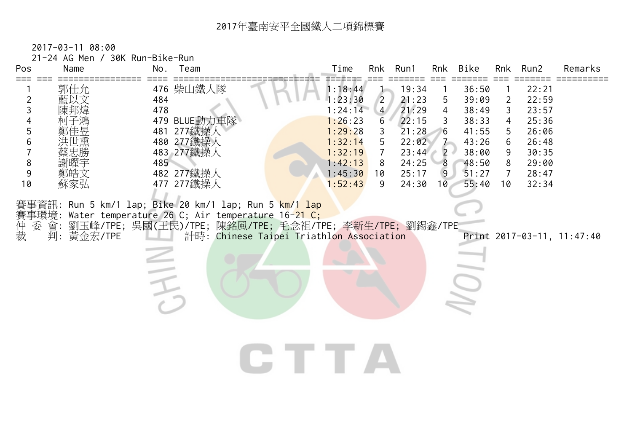| ===            | Name       | No. Team | 21-24 AG Men / 30K Run-Bike-Run |      | Time               |                     | Rnk Run1       |                | Rnk Bike       |                | Rnk Run2       | Remarks |
|----------------|------------|----------|---------------------------------|------|--------------------|---------------------|----------------|----------------|----------------|----------------|----------------|---------|
| $\overline{2}$ | 郭仕允<br>藍以文 | 484      | 476 柴山鐵人隊                       |      | 1:18:44<br>1:23:30 | $\overline{2}$      | 19:34<br>21:23 | $5^{\circ}$    | 36:50<br>39:09 | 2              | 22:21<br>22:59 |         |
| 3              |            | 478      |                                 |      | 1:24:14            | 4/                  | 21:29          | $\overline{4}$ | 38:49          | 3              | 23:57          |         |
|                |            |          | 479 BLUE動力車隊                    |      | 1:26:23            | 6                   | 22:15          | $\mathbf{3}$   | 38:33          | 4              | 25:36          |         |
| 5<br>6         |            |          | 481 277鐵操人<br>480 277鐵操人        |      | 1:29:28            | 3                   | 21:28          | 6              | 41:55          | 5              | 26:06          |         |
| $\overline{7}$ |            |          | 483 277鐵操人                      |      | 1:32:14<br>1:32:19 | 5<br>$\overline{7}$ | 22:02<br>23:44 | $2 \cdot$      | 43:26<br>38:00 | 6<br>9         | 26:48<br>30:35 |         |
| $\,8\,$        |            | 485      |                                 |      | 1:42:13            | 8                   | 24:25          | 8 <sup>8</sup> | 48:50          | 8              | 29:00          |         |
| 9              | 鄭皓文        |          | 482 277鐵操人                      |      | 1:45:30            | 10                  | 25:17          | $\overline{9}$ | 51:27          | $\overline{7}$ | 28:47          |         |
| 10             | 蘇家弘        |          | 477 277鐵操人                      |      | 1:52:43            | 9                   | 24:30          | 10             | 55:40          | 10             | 32:34          |         |
|                |            |          |                                 |      |                    |                     |                |                |                |                |                |         |
|                |            | JHIN     |                                 | CTTA |                    |                     |                |                |                |                |                |         |